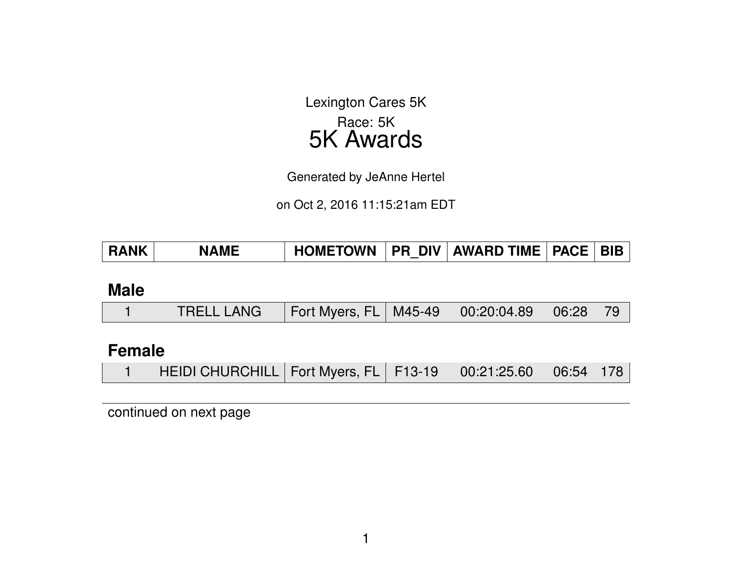Lexington Cares 5K Race: 5K 5K Awards

Generated by JeAnne Hertel

on Oct 2, 2016 11:15:21am EDT

| <b>RANK</b> | <b>NAME</b> | <b>HOMETOWN</b> |  | <b>FR DIV AWARD TIME PACE</b> |  | <b>BIB</b> |
|-------------|-------------|-----------------|--|-------------------------------|--|------------|
|-------------|-------------|-----------------|--|-------------------------------|--|------------|

#### **Male**

|  | TRELL LANG   Fort Myers, FL   M45-49   00:20:04.89   06:28   79 |  |  |  |  |  |
|--|-----------------------------------------------------------------|--|--|--|--|--|
|--|-----------------------------------------------------------------|--|--|--|--|--|

### **Female**

| HEIDI CHURCHILL   Fort Myers, FL   F13-19   00:21:25.60   06:54   178 |  |  |  |
|-----------------------------------------------------------------------|--|--|--|
|                                                                       |  |  |  |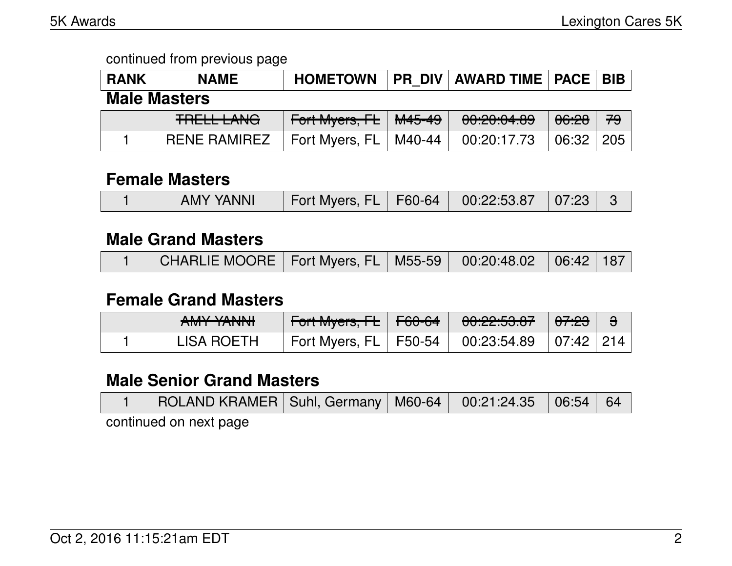| <b>RANK</b>         | <b>NAME</b>         | <b>HOMETOWN</b>         |        | <b>PR DIV AWARD TIME   PACE  </b> |       | <b>BIB</b> |  |  |
|---------------------|---------------------|-------------------------|--------|-----------------------------------|-------|------------|--|--|
| <b>Male Masters</b> |                     |                         |        |                                   |       |            |  |  |
|                     | <b>TRELL LANG</b>   | Fort Myers, FL   M45-49 |        | 00:20:04.89                       | 06:28 | 79         |  |  |
|                     | <b>RENE RAMIREZ</b> | Fort Myers, FL          | M40-44 | 00:20:17.73                       | 06:32 | 205        |  |  |

#### **Female Masters**

|  | <b>AMY YANNI</b> | ◯ Fort Myers, FL   F60-64   00:22:53.87   07:23 |  |  |  |  |
|--|------------------|-------------------------------------------------|--|--|--|--|
|--|------------------|-------------------------------------------------|--|--|--|--|

### **Male Grand Masters**

|  | CHARLIE MOORE   Fort Myers, FL   M55-59   00:20:48.02   06:42   187 |  |  |  |  |  |
|--|---------------------------------------------------------------------|--|--|--|--|--|
|--|---------------------------------------------------------------------|--|--|--|--|--|

### **Female Grand Masters**

| ANAV VANINII<br>$\sqrt{1011}$ $\sqrt{1010}$ | Fort Myers, FL            | <del>F60-64</del> | 00:22:53.87                                                                            | 0 <del>7:23</del> |  |
|---------------------------------------------|---------------------------|-------------------|----------------------------------------------------------------------------------------|-------------------|--|
| <b>LISA ROETH</b>                           | Fort Myers, $FL$   F50-54 |                   | $\begin{array}{ c c c c c c c c } \hline 00:23:54.89 & 07:42 & 214 \hline \end{array}$ |                   |  |

### **Male Senior Grand Masters**

|                        | ROLAND KRAMER   Suhl, Germany   M60-64   00:21:24.35   06:54   64 |  |  |  |  |  |  |  |
|------------------------|-------------------------------------------------------------------|--|--|--|--|--|--|--|
| continued on novt none |                                                                   |  |  |  |  |  |  |  |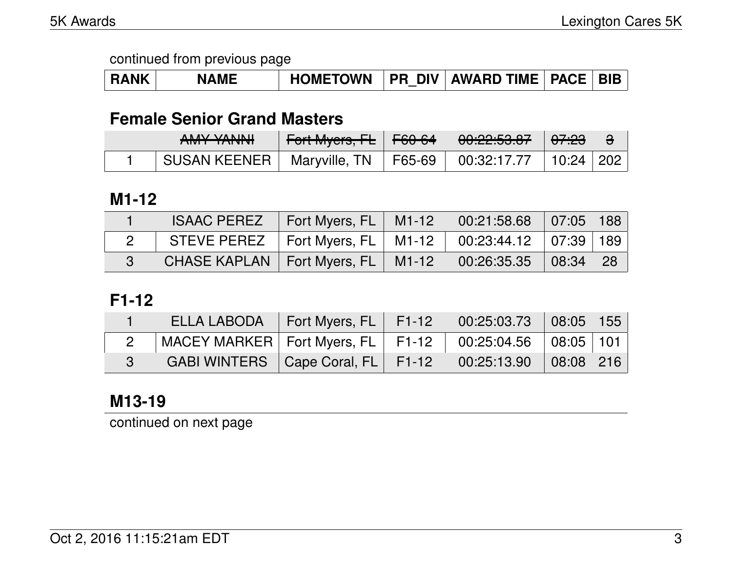| <b>RANK</b> | <b>NAME</b> |  |  | HOMETOWN   PR DIV   AWARD TIME   PACE   BIB |  |  |
|-------------|-------------|--|--|---------------------------------------------|--|--|
|-------------|-------------|--|--|---------------------------------------------|--|--|

# **Female Senior Grand Masters**

| ANAV VANINII<br>$\pi$ ivi i $\pi$ i vi vi | <del>Fort Myers, FL</del> N | $\sqrt{60.64}$ | <u>AA.AA.EA AZ</u><br><u>00.44.00.07</u> | <del>07:23</del>              |  |
|-------------------------------------------|-----------------------------|----------------|------------------------------------------|-------------------------------|--|
| SUSAN KEENER I                            | Maryville, TN               | F65-69         | 00:32:17.77                              | $\perp$ 10:24 $\parallel$ 202 |  |

#### **M1-12**

| <b>ISAAC PEREZ</b>                                               | Fort Myers, FL   M1-12   00:21:58.68   07:05   188 |  |      |
|------------------------------------------------------------------|----------------------------------------------------|--|------|
| STEVE PEREZ   Fort Myers, FL   M1-12   00:23:44.12   07:39   189 |                                                    |  |      |
| CHASE KAPLAN   Fort Myers, FL   M1-12   00:26:35.35   08:34      |                                                    |  | - 28 |

### **F1-12**

| ELLA LABODA   Fort Myers, FL   F1-12   00:25:03.73   08:05   155  |  |  |  |
|-------------------------------------------------------------------|--|--|--|
| MACEY MARKER   Fort Myers, FL   F1-12   00:25:04.56   08:05   101 |  |  |  |
| GABI WINTERS   Cape Coral, FL   F1-12   00:25:13.90   08:08   216 |  |  |  |

# **M13-19**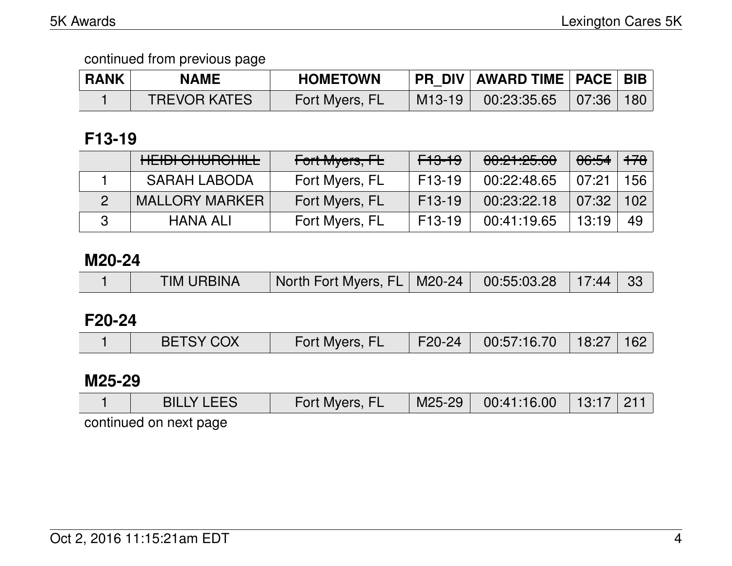| <b>RANK</b> | <b>NAME</b>         | <b>HOMETOWN</b> |        | PR_DIV   AWARD TIME   PACE   BIB |  |
|-------------|---------------------|-----------------|--------|----------------------------------|--|
|             | <b>TREVOR KATES</b> | Fort Myers, FL  | M13-19 | $00:23:35.65$ 07:36 180          |  |

# **F13-19**

| HEIDI CHURCHILL       | Fort Myers, FL | <del>F13-19</del>   | 00:21:25.60 | 06:54 | . <del>178</del> 7 |
|-----------------------|----------------|---------------------|-------------|-------|--------------------|
| <b>SARAH LABODA</b>   | Fort Myers, FL | F <sub>13</sub> -19 | 00:22:48.65 | 07:21 | 156                |
| <b>MALLORY MARKER</b> | Fort Myers, FL | $F13-19$            | 00:23:22.18 | 07:32 | 102                |
| <b>HANA ALI</b>       | Fort Myers, FL | F <sub>13</sub> -19 | 00:41:19.65 | 13:19 | 49                 |

#### **M20-24**

|  | <b>TIM URBINA</b> | North Fort Myers, FL   M20-24   00:55:03.28   17:44   33 |  |  |  |  |
|--|-------------------|----------------------------------------------------------|--|--|--|--|
|--|-------------------|----------------------------------------------------------|--|--|--|--|

### **F20-24**

|  | <b>BETSY COX</b> | Fort Myers, FL | F20-24 V | $\begin{array}{ c c c c c c c c } \hline 00.57.16.70 & 18.27 & 162 \hline \end{array}$ |  |  |
|--|------------------|----------------|----------|----------------------------------------------------------------------------------------|--|--|
|--|------------------|----------------|----------|----------------------------------------------------------------------------------------|--|--|

### **M25-29**

| <b>BILLY LEES</b>      | Fort Myers, FL | $M25-29$ | $\begin{array}{ c c c c c }\ \hline \text{00:41:16.00} & \text{13:17} & \text{211} \end{array}$ |  |
|------------------------|----------------|----------|-------------------------------------------------------------------------------------------------|--|
| continued on next page |                |          |                                                                                                 |  |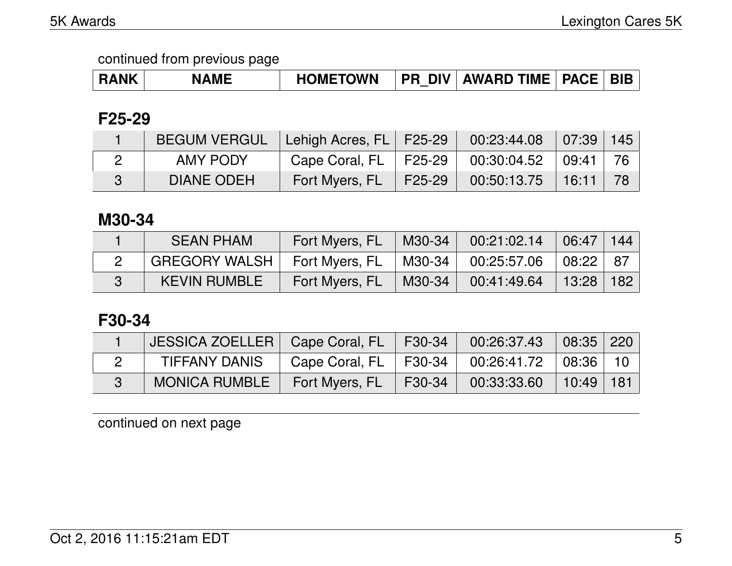| <b>RANK</b> | <b>NAME</b> | HOMETOWN   PR DIV   AWARD TIME   PACE   BIB |  |  |  |  |
|-------------|-------------|---------------------------------------------|--|--|--|--|
|-------------|-------------|---------------------------------------------|--|--|--|--|

# **F25-29**

| <b>BEGUM VERGUL</b> | Lehigh Acres, FL   F25-29 |        | $00:23:44.08$ 07:39 145     |       |      |
|---------------------|---------------------------|--------|-----------------------------|-------|------|
| <b>AMY PODY</b>     | Cape Coral, $FL$   F25-29 |        | $00:30:04.52$ $\parallel$   | 09:41 | ່ 76 |
| DIANE ODEH          | Fort Myers, FL            | F25-29 | $\set{00:50:13.75}$   16:11 |       |      |

### **M30-34**

| <b>SEAN PHAM</b>     | Fort Myers, FL | $\blacksquare$ M30-34          | 00:21:02.14 | 06:47         | 144 |
|----------------------|----------------|--------------------------------|-------------|---------------|-----|
| <b>GREGORY WALSH</b> | Fort Myers, FL | $\mid$ M30-34 $\mid$           | 00:25:57.06 | $108:22$ 87   |     |
| <b>KEVIN RUMBLE</b>  | Fort Myers, FL | $\parallel$ M30-34 $\parallel$ | 00:41:49.64 | │ 13:28 │ 182 |     |

# **F30-34**

| JESSICA ZOELLER   Cape Coral, FL   F30-34   00:26:37.43   08:35   220 |                                                    |                                                                    |  |
|-----------------------------------------------------------------------|----------------------------------------------------|--------------------------------------------------------------------|--|
| TIFFANY DANIS                                                         | Cape Coral, FL   F30-34   00:26:41.72   08:36   10 |                                                                    |  |
| MONICA RUMBLE   Fort Myers, FL                                        |                                                    | $\parallel$ F30-34 $\parallel$ 00:33:33.60 $\parallel$ 10:49   181 |  |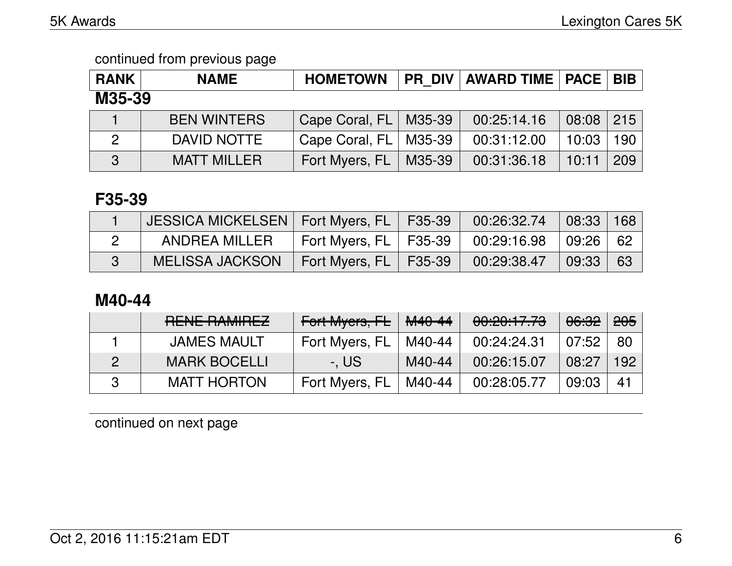| <b>RANK</b>  | <b>NAME</b>        | <b>HOMETOWN</b>         |        | <b>PR DIV AWARD TIME PACE</b> |       | <b>BIB</b> |
|--------------|--------------------|-------------------------|--------|-------------------------------|-------|------------|
| M35-39       |                    |                         |        |                               |       |            |
|              | <b>BEN WINTERS</b> | Cape Coral, FL   M35-39 |        | 00:25:14.16                   | 08:08 | 215        |
| 2            | DAVID NOTTE        | Cape Coral, FL   M35-39 |        | 00:31:12.00                   | 10:03 | 190        |
| $\mathbf{z}$ | <b>MATT MILLER</b> | Fort Myers, FL          | M35-39 | 00:31:36.18                   | 10:11 | 209        |

### **F35-39**

| JESSICA MICKELSEN   Fort Myers, FL   F35-39 |                                       | $\begin{array}{ c c c c c c c c } \hline \rule{0pt}{.5cm} & \text{00:26:32.74} & \text{08:33} & \text{168} \end{array}$ |    |
|---------------------------------------------|---------------------------------------|-------------------------------------------------------------------------------------------------------------------------|----|
| ANDREA MILLER                               | Fort Myers, FL $\vert$ F35-39 $\vert$ | $\begin{array}{ c c c c c }\ \hline \text{00:29:16.98} & \text{09:26} \end{array}$                                      | 62 |
| <b>MELISSA JACKSON</b>                      | Fort Myers, $FL$   F35-39             | $00:29:38.47$ 09:33                                                                                                     | 63 |

# **M40-44**

| DENIE DAMIDEZ<br><b>TULINE TRAINIFULZ</b> | Fort Myers, FL | M40-44 | 00:20:17.73 | 06:32 | 205  |
|-------------------------------------------|----------------|--------|-------------|-------|------|
| <b>JAMES MAULT</b>                        | Fort Myers, FL | M40-44 | 00:24:24.31 | 07:52 | 80   |
| <b>MARK BOCELLI</b>                       | -. US          | M40-44 | 00:26:15.07 | 08:27 | 192. |
| <b>MATT HORTON</b>                        | Fort Myers, FL | M40-44 | 00:28:05.77 | 09:03 | 41   |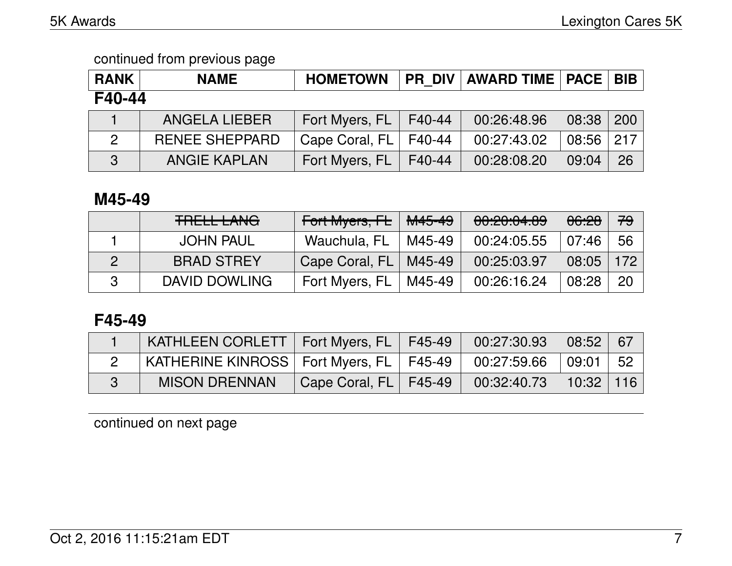| <b>RANK</b>  | <b>NAME</b>           | <b>HOMETOWN</b> | <b>PR DIV</b> | <b>AWARD TIME   PACE</b> |       | <b>BIB</b> |
|--------------|-----------------------|-----------------|---------------|--------------------------|-------|------------|
| F40-44       |                       |                 |               |                          |       |            |
|              | <b>ANGELA LIEBER</b>  | Fort Myers, FL  | F40-44        | 00:26:48.96              | 08:38 | 200        |
| $\mathbf{2}$ | <b>RENEE SHEPPARD</b> | Cape Coral, FL  | F40-44        | 00:27:43.02              | 08:56 | 217        |
| 3            | <b>ANGIE KAPLAN</b>   | Fort Myers, FL  | F40-44        | 00:28:08.20              | 09:04 | 26         |

# **M45-49**

| <b>TRELL LANG</b> | Fort Myers, FL | <del>M45-49</del> | 00,00,01,00<br><b>00.20.04.09</b> | 06:28 | 79               |
|-------------------|----------------|-------------------|-----------------------------------|-------|------------------|
| <b>JOHN PAUL</b>  | Wauchula, FL   | M45-49            | 00:24:05.55                       | 07:46 | 56               |
| <b>BRAD STREY</b> | Cape Coral, FL | M45-49            | 00:25:03.97                       | 08:05 | 172 <sub>1</sub> |
| DAVID DOWLING     | Fort Myers, FL | M45-49            | 00:26:16.24                       | 08:28 | 20               |

# **F45-49**

| KATHLEEN CORLETT   Fort Myers, FL   F45-49  |                         | $00:27:30.93$ 08:52          | 67   |
|---------------------------------------------|-------------------------|------------------------------|------|
| KATHERINE KINROSS   Fort Myers, FL   F45-49 |                         | $\,^\circ$ 00:27:59.66 09:01 | - 52 |
| <b>MISON DRENNAN</b>                        | Cape Coral, FL   F45-49 | $00:32:40.73$ 10:32          | 116  |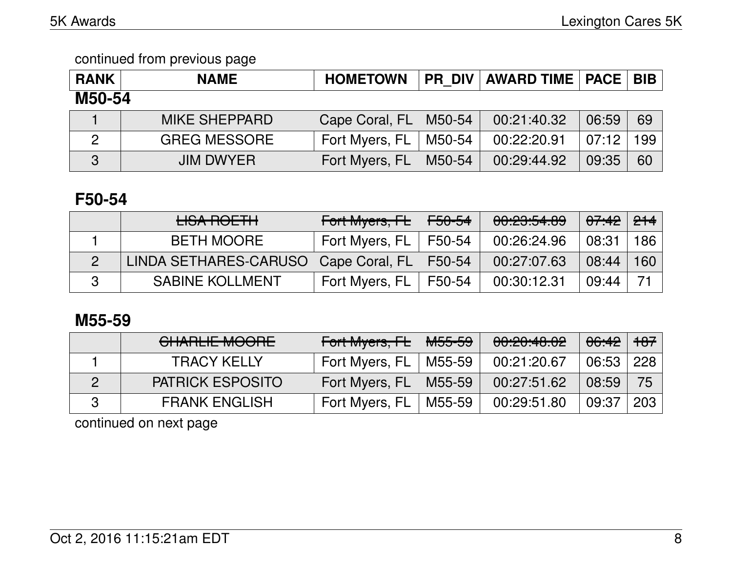| <b>RANK</b>    | <b>NAME</b>          | <b>HOMETOWN</b> |        | <b>PR DIV   AWARD TIME   PACE</b> |       | <b>BIB</b> |
|----------------|----------------------|-----------------|--------|-----------------------------------|-------|------------|
| M50-54         |                      |                 |        |                                   |       |            |
|                | <b>MIKE SHEPPARD</b> | Cape Coral, FL  | M50-54 | 00:21:40.32                       | 06:59 | 69         |
| $\overline{2}$ | <b>GREG MESSORE</b>  | Fort Myers, FL  | M50-54 | 00:22:20.91                       | 07:12 | 199        |
| 3              | <b>JIM DWYER</b>     | Fort Myers, FL  | M50-54 | 00:29:44.92                       | 09:35 | 60         |

### **F50-54**

| <b>LISA ROETH</b>                      | Fort Myers, FL F50-54 |        | 00:23:54.89 | <del>07:42</del> | 214 |
|----------------------------------------|-----------------------|--------|-------------|------------------|-----|
| <b>BETH MOORE</b>                      | Fort Myers, FL        | F50-54 | 00:26:24.96 | 08:31            | 186 |
| LINDA SETHARES-CARUSO   Cape Coral, FL |                       | F50-54 | 00:27:07.63 | 08:44            | 160 |
| <b>SABINE KOLLMENT</b>                 | Fort Myers, FL        | F50-54 | 00:30:12.31 | 09:44            |     |

### **M55-59**

| <b>CHARLIE MOORE</b>    | Fort Myers, FL | <del>M55-59</del> | 00:20:48.02 | $-06:42$   $+07$ |                 |
|-------------------------|----------------|-------------------|-------------|------------------|-----------------|
| <b>TRACY KELLY</b>      | Fort Myers, FL | M55-59            | 00:21:20.67 | 06:53            | $\frac{1}{228}$ |
| <b>PATRICK ESPOSITO</b> | Fort Myers, FL | M55-59            | 00:27:51.62 | 08:59            | -75             |
| <b>FRANK ENGLISH</b>    | Fort Myers, FL | M55-59            | 00:29:51.80 | 09:37            | 203             |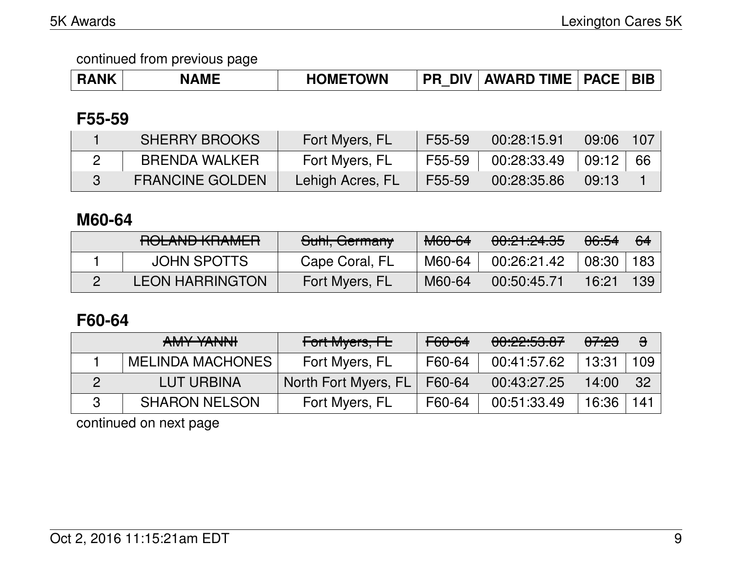| <b>7NK</b> | <b>ME</b><br>N | <b>OWN</b><br>)M⊢<br>ПL | DIV<br>nс<br>_ | TIME<br><b>AWARD</b> | <b>PACF</b> | DIE |
|------------|----------------|-------------------------|----------------|----------------------|-------------|-----|
|------------|----------------|-------------------------|----------------|----------------------|-------------|-----|

### **F55-59**

| <b>SHERRY BROOKS</b>   | Fort Myers, FL   | F55-59 | 00:28:15.91 | 09:06 | 107  |
|------------------------|------------------|--------|-------------|-------|------|
| BRENDA WALKER          | Fort Myers, FL   | F55-59 | 00:28:33.49 | 09:12 | - 66 |
| <b>FRANCINE GOLDEN</b> | Lehigh Acres, FL | F55-59 | 00:28:35.86 | 09:13 |      |

# **M60-64**

| DOL AND I/DAMED<br><b>NULAIVU INIAMLIT</b> | Suhl, Germany  | <b>M60-64</b> | 00:21:24.35 | 06:54 | 64  |
|--------------------------------------------|----------------|---------------|-------------|-------|-----|
| <b>JOHN SPOTTS</b>                         | Cape Coral, FL | M60-64        | 00:26:21.42 | 08:30 | 183 |
| <b>LEON HARRINGTON</b>                     | Fort Myers, FL | M60-64        | 00:50:45.71 | 16:21 | 139 |

# **F60-64**

| AMY YANNI               | Fort Myers, FL       | F60-64 | 00:22:53.87 | <del>07:23</del> | $\theta$ |
|-------------------------|----------------------|--------|-------------|------------------|----------|
| <b>MELINDA MACHONES</b> | Fort Myers, FL       | F60-64 | 00:41:57.62 | 13:31            | 109      |
| LUT URBINA              | North Fort Myers, FL | F60-64 | 00:43:27.25 | 14:00            | -32      |
| <b>SHARON NELSON</b>    | Fort Myers, FL       | F60-64 | 00:51:33.49 | 16:36            | $141$    |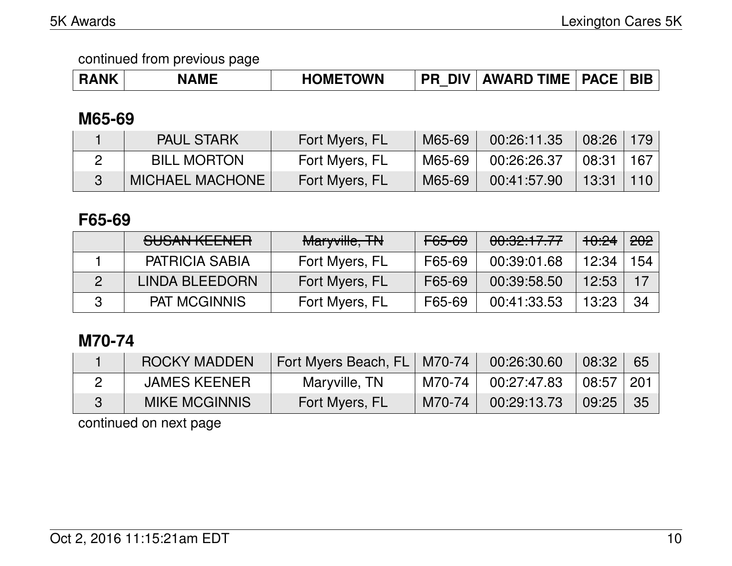| <b>RANK</b> | <b>NAME</b> | <b>HOMETOWN</b> | <b>DIV</b><br><b>PR</b> | <b>AWARD TIME</b> | <b>PACE</b> | <b>BIB</b> |
|-------------|-------------|-----------------|-------------------------|-------------------|-------------|------------|
|-------------|-------------|-----------------|-------------------------|-------------------|-------------|------------|

# **M65-69**

| <b>PAUL STARK</b>      | Fort Myers, FL | M65-69 | 00:26:11.35 | 08:26 | 179  |
|------------------------|----------------|--------|-------------|-------|------|
| <b>BILL MORTON</b>     | Fort Myers, FL | M65-69 | 00:26:26.37 | 08:31 | -167 |
| <b>MICHAEL MACHONE</b> | Fort Myers, FL | M65-69 | 00:41:57.90 | 13:31 |      |

### **F65-69**

| <u>CLICAN IZEENIED</u><br><b>OUOAIN INLLINLIT</b> | Maryville, TN  | F65-69 | 00:32:17.77 | <del>10:24</del> | <del>202</del> |
|---------------------------------------------------|----------------|--------|-------------|------------------|----------------|
| <b>PATRICIA SABIA</b>                             | Fort Myers, FL | F65-69 | 00:39:01.68 | 12:34            | 154            |
| LINDA BLEEDORN                                    | Fort Myers, FL | F65-69 | 00:39:58.50 | 12:53            | 17             |
| <b>PAT MCGINNIS</b>                               | Fort Myers, FL | F65-69 | 00:41:33.53 | 13:23            | 34             |

# **M70-74**

| ROCKY MADDEN         | Fort Myers Beach, FL   M70-74 |          | 00:26:30.60 | 08:32 | 65         |
|----------------------|-------------------------------|----------|-------------|-------|------------|
| <b>JAMES KEENER</b>  | Maryville, TN                 | M70-74   | 00:27:47.83 | 08:57 | <b>201</b> |
| <b>MIKE MCGINNIS</b> | Fort Myers, FL                | $M70-74$ | 00:29:13.73 | 09:25 | -35        |